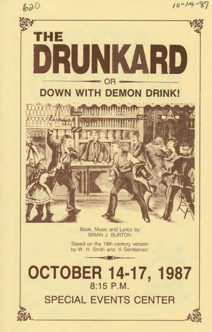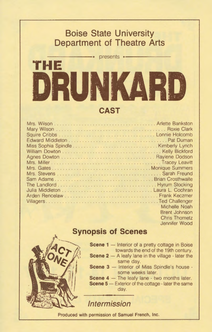## **Boise State University Department of Theatre Arts**  -------• presents •-------

# **THE DRUNK CAST**

| Michelle Noah |
|---------------|
| Brent Johnson |
| Chris Thometz |





**Scene 1** - Interior of a pretty cottage in Boise towards the end of the 19th century.

Jennifer Wood

- **Scene**  $2 A$  **leafy lane in the village**  $\cdot$  **later the** same day.
- **Scene 3** Interior of Miss Spindle's house some weeks later.
- **Scene 4** The leafy lane two months later.

**Scene 5** - Exterior of the cottage - later the same day.

**Intermission** 

Produced with permission of Samuel French, Inc.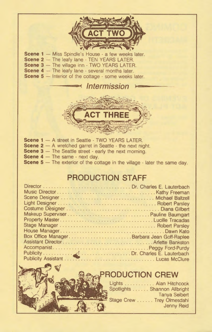Scene 1 - Miss Spindle's House - a few weeks later. Scene 2 - The leafy lane - TEN YEARS LATER. Scene 3 - The village inn - TWO YEARS LATER. Scene 4 - The leafy lane - several months later. Scene 5 - Interior of the cottage - some weeks later.



 $*$  Intermission

- **Scene 1** A street in Seattle TWO YEARS LATER.
- **Scene 2** A wretched garret in Seattle the next night.
- **Scene 3** The Seattle street early the next morning.
- **Scene 4** The same next day.
- **Scene 5** The exterior of the cottage in the village later the same day.

## **PRODUCTION STAFF**

| Box Office ManagerBarbara Jean Goff-Raplee |  |
|--------------------------------------------|--|
|                                            |  |
|                                            |  |
|                                            |  |
|                                            |  |



## **RODUCTION CREW**

| Lights Alan Hitchcock        |
|------------------------------|
| Spotlights Shannon Allbright |
| <b>Tanya Seibert</b>         |
| Stage Crew Trey Olmesdahl    |
| Jenny Reid                   |